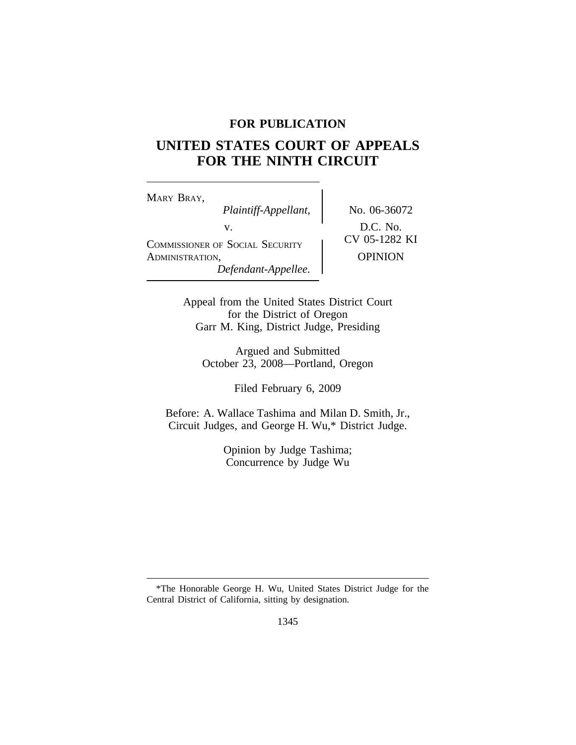# **FOR PUBLICATION**

# **UNITED STATES COURT OF APPEALS FOR THE NINTH CIRCUIT**

<sup>M</sup>ARY BRAY, *Plaintiff-Appellant,* No. 06-36072 V.<br>
COMMISSIONER OF SOCIAL SECURITY CV 05-1282 KI ADMINISTRATION, OPINION *Defendant-Appellee.*

Appeal from the United States District Court for the District of Oregon Garr M. King, District Judge, Presiding

Argued and Submitted October 23, 2008—Portland, Oregon

Filed February 6, 2009

Before: A. Wallace Tashima and Milan D. Smith, Jr., Circuit Judges, and George H. Wu,\* District Judge.

> Opinion by Judge Tashima; Concurrence by Judge Wu

<sup>\*</sup>The Honorable George H. Wu, United States District Judge for the Central District of California, sitting by designation.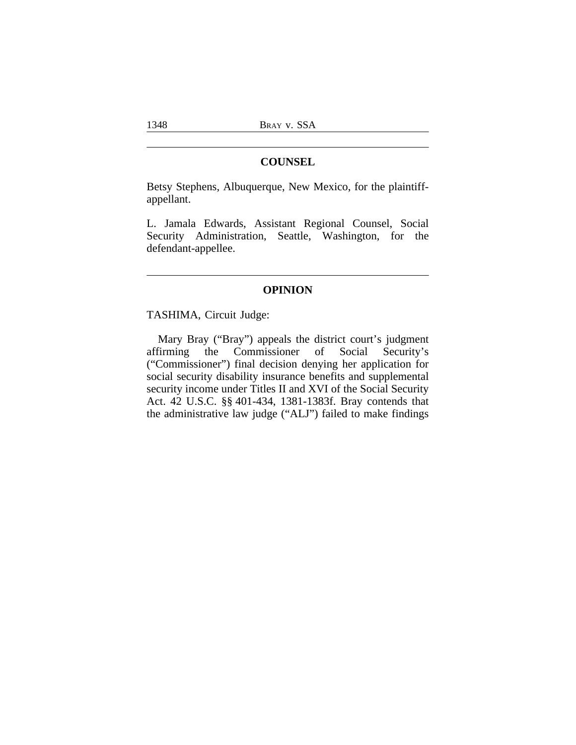# **COUNSEL**

Betsy Stephens, Albuquerque, New Mexico, for the plaintiffappellant.

L. Jamala Edwards, Assistant Regional Counsel, Social Security Administration, Seattle, Washington, for the defendant-appellee.

# **OPINION**

TASHIMA, Circuit Judge:

Mary Bray ("Bray") appeals the district court's judgment affirming the Commissioner of Social Security's the Commissioner ("Commissioner") final decision denying her application for social security disability insurance benefits and supplemental security income under Titles II and XVI of the Social Security Act. 42 U.S.C. §§ 401-434, 1381-1383f. Bray contends that the administrative law judge ("ALJ") failed to make findings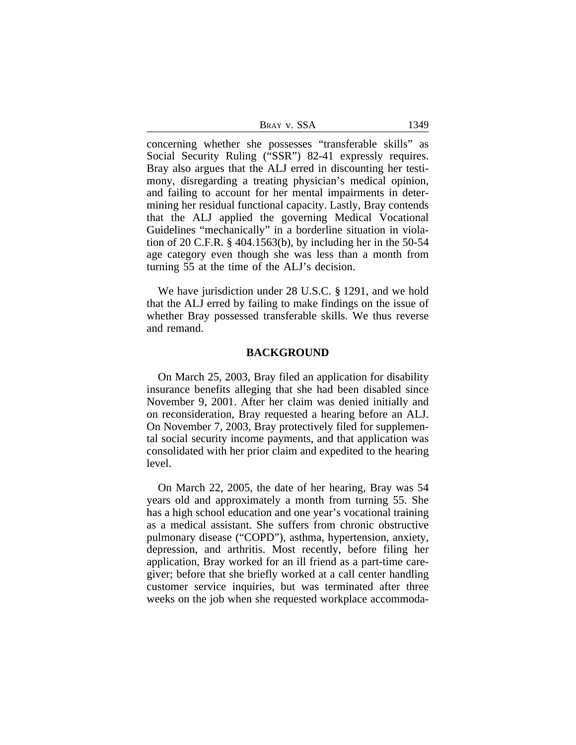| Bray v. SSA | 1349 |
|-------------|------|
|-------------|------|

concerning whether she possesses "transferable skills" as Social Security Ruling ("SSR") 82-41 expressly requires. Bray also argues that the ALJ erred in discounting her testimony, disregarding a treating physician's medical opinion, and failing to account for her mental impairments in determining her residual functional capacity. Lastly, Bray contends that the ALJ applied the governing Medical Vocational Guidelines "mechanically" in a borderline situation in violation of 20 C.F.R. § 404.1563(b), by including her in the 50-54 age category even though she was less than a month from turning 55 at the time of the ALJ's decision.

We have jurisdiction under 28 U.S.C. § 1291, and we hold that the ALJ erred by failing to make findings on the issue of whether Bray possessed transferable skills. We thus reverse and remand.

#### **BACKGROUND**

On March 25, 2003, Bray filed an application for disability insurance benefits alleging that she had been disabled since November 9, 2001. After her claim was denied initially and on reconsideration, Bray requested a hearing before an ALJ. On November 7, 2003, Bray protectively filed for supplemental social security income payments, and that application was consolidated with her prior claim and expedited to the hearing level.

On March 22, 2005, the date of her hearing, Bray was 54 years old and approximately a month from turning 55. She has a high school education and one year's vocational training as a medical assistant. She suffers from chronic obstructive pulmonary disease ("COPD"), asthma, hypertension, anxiety, depression, and arthritis. Most recently, before filing her application, Bray worked for an ill friend as a part-time caregiver; before that she briefly worked at a call center handling customer service inquiries, but was terminated after three weeks on the job when she requested workplace accommoda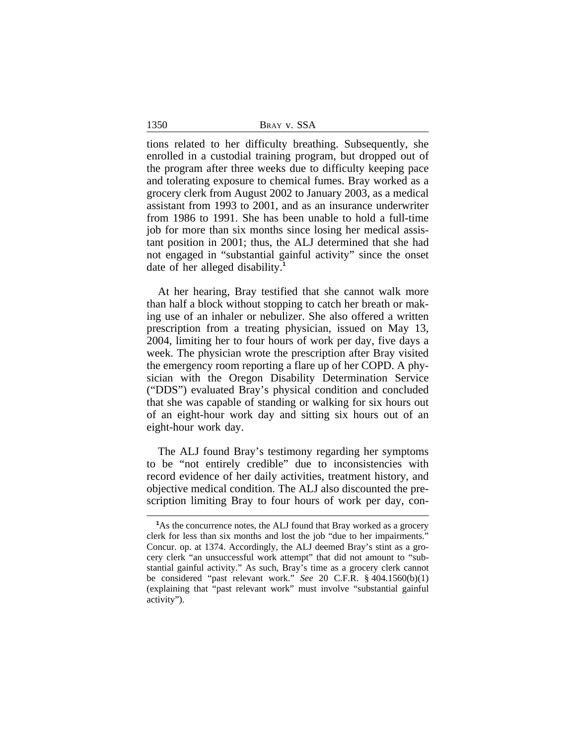1350 BRAY V. SSA

tions related to her difficulty breathing. Subsequently, she enrolled in a custodial training program, but dropped out of the program after three weeks due to difficulty keeping pace and tolerating exposure to chemical fumes. Bray worked as a grocery clerk from August 2002 to January 2003, as a medical assistant from 1993 to 2001, and as an insurance underwriter from 1986 to 1991. She has been unable to hold a full-time job for more than six months since losing her medical assistant position in 2001; thus, the ALJ determined that she had not engaged in "substantial gainful activity" since the onset date of her alleged disability.**<sup>1</sup>**

At her hearing, Bray testified that she cannot walk more than half a block without stopping to catch her breath or making use of an inhaler or nebulizer. She also offered a written prescription from a treating physician, issued on May 13, 2004, limiting her to four hours of work per day, five days a week. The physician wrote the prescription after Bray visited the emergency room reporting a flare up of her COPD. A physician with the Oregon Disability Determination Service ("DDS") evaluated Bray's physical condition and concluded that she was capable of standing or walking for six hours out of an eight-hour work day and sitting six hours out of an eight-hour work day.

The ALJ found Bray's testimony regarding her symptoms to be "not entirely credible" due to inconsistencies with record evidence of her daily activities, treatment history, and objective medical condition. The ALJ also discounted the prescription limiting Bray to four hours of work per day, con-

**<sup>1</sup>**As the concurrence notes, the ALJ found that Bray worked as a grocery clerk for less than six months and lost the job "due to her impairments." Concur. op. at 1374. Accordingly, the ALJ deemed Bray's stint as a grocery clerk "an unsuccessful work attempt" that did not amount to "substantial gainful activity." As such, Bray's time as a grocery clerk cannot be considered "past relevant work." *See* 20 C.F.R. § 404.1560(b)(1) (explaining that "past relevant work" must involve "substantial gainful activity").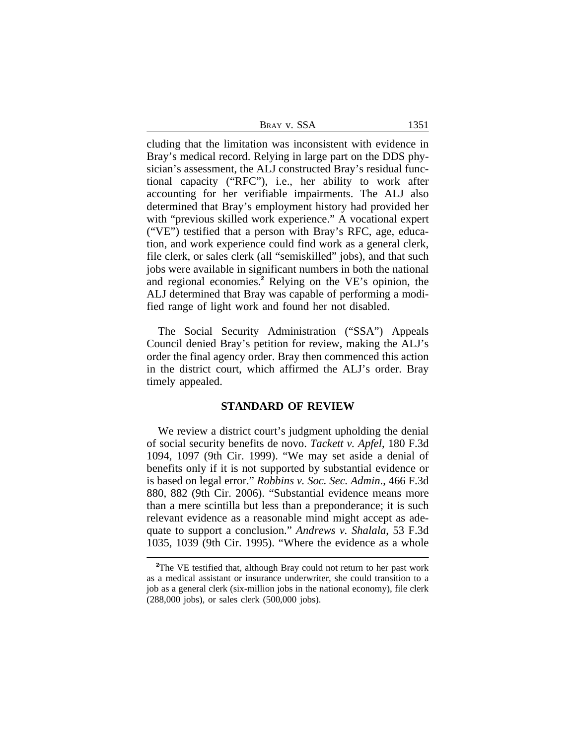| Bray v. SSA | 1351 |  |
|-------------|------|--|
|             |      |  |

cluding that the limitation was inconsistent with evidence in Bray's medical record. Relying in large part on the DDS physician's assessment, the ALJ constructed Bray's residual functional capacity ("RFC"), i.e., her ability to work after accounting for her verifiable impairments. The ALJ also determined that Bray's employment history had provided her with "previous skilled work experience." A vocational expert ("VE") testified that a person with Bray's RFC, age, education, and work experience could find work as a general clerk, file clerk, or sales clerk (all "semiskilled" jobs), and that such jobs were available in significant numbers in both the national and regional economies.**<sup>2</sup>** Relying on the VE's opinion, the ALJ determined that Bray was capable of performing a modified range of light work and found her not disabled.

The Social Security Administration ("SSA") Appeals Council denied Bray's petition for review, making the ALJ's order the final agency order. Bray then commenced this action in the district court, which affirmed the ALJ's order. Bray timely appealed.

## **STANDARD OF REVIEW**

We review a district court's judgment upholding the denial of social security benefits de novo. *Tackett v. Apfel*, 180 F.3d 1094, 1097 (9th Cir. 1999). "We may set aside a denial of benefits only if it is not supported by substantial evidence or is based on legal error." *Robbins v. Soc. Sec. Admin*., 466 F.3d 880, 882 (9th Cir. 2006). "Substantial evidence means more than a mere scintilla but less than a preponderance; it is such relevant evidence as a reasonable mind might accept as adequate to support a conclusion." *Andrews v. Shalala*, 53 F.3d 1035, 1039 (9th Cir. 1995). "Where the evidence as a whole

<sup>&</sup>lt;sup>2</sup>The VE testified that, although Bray could not return to her past work as a medical assistant or insurance underwriter, she could transition to a job as a general clerk (six-million jobs in the national economy), file clerk (288,000 jobs), or sales clerk (500,000 jobs).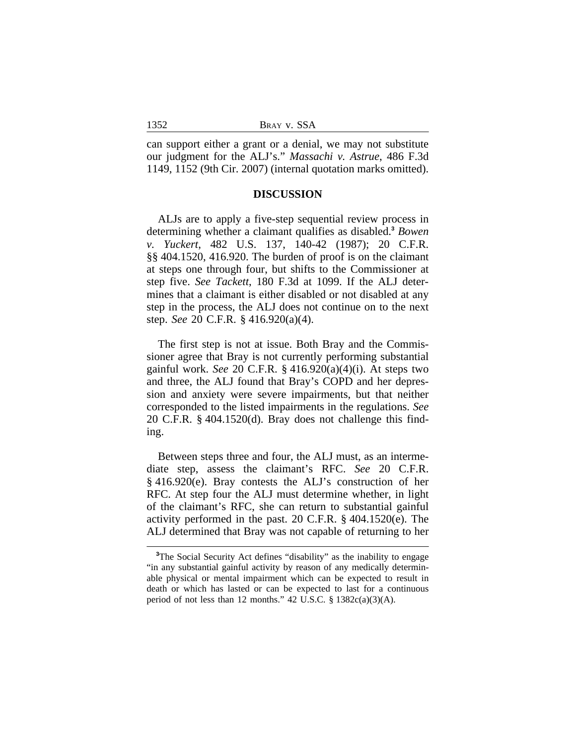can support either a grant or a denial, we may not substitute our judgment for the ALJ's." *Massachi v. Astrue*, 486 F.3d 1149, 1152 (9th Cir. 2007) (internal quotation marks omitted).

#### **DISCUSSION**

ALJs are to apply a five-step sequential review process in determining whether a claimant qualifies as disabled.**<sup>3</sup>** *Bowen v. Yuckert*, 482 U.S. 137, 140-42 (1987); 20 C.F.R. §§ 404.1520, 416.920. The burden of proof is on the claimant at steps one through four, but shifts to the Commissioner at step five. *See Tackett*, 180 F.3d at 1099. If the ALJ determines that a claimant is either disabled or not disabled at any step in the process, the ALJ does not continue on to the next step. *See* 20 C.F.R. § 416.920(a)(4).

The first step is not at issue. Both Bray and the Commissioner agree that Bray is not currently performing substantial gainful work. *See* 20 C.F.R. § 416.920(a)(4)(i). At steps two and three, the ALJ found that Bray's COPD and her depression and anxiety were severe impairments, but that neither corresponded to the listed impairments in the regulations. *See* 20 C.F.R. § 404.1520(d). Bray does not challenge this finding.

Between steps three and four, the ALJ must, as an intermediate step, assess the claimant's RFC. *See* 20 C.F.R. § 416.920(e). Bray contests the ALJ's construction of her RFC. At step four the ALJ must determine whether, in light of the claimant's RFC, she can return to substantial gainful activity performed in the past. 20 C.F.R. § 404.1520(e). The ALJ determined that Bray was not capable of returning to her

1352

**<sup>3</sup>**The Social Security Act defines "disability" as the inability to engage "in any substantial gainful activity by reason of any medically determinable physical or mental impairment which can be expected to result in death or which has lasted or can be expected to last for a continuous period of not less than 12 months." 42 U.S.C. § 1382c(a)(3)(A).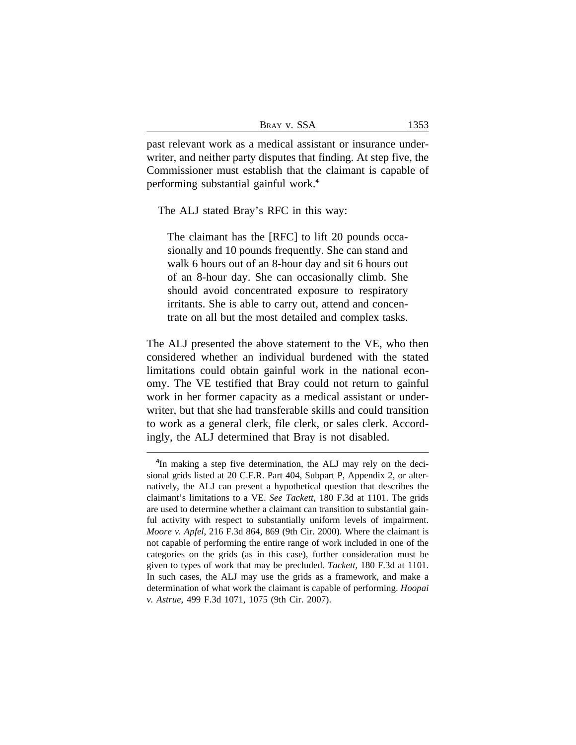| BRAY V. SSA |  |  |
|-------------|--|--|
|-------------|--|--|

past relevant work as a medical assistant or insurance underwriter, and neither party disputes that finding. At step five, the Commissioner must establish that the claimant is capable of performing substantial gainful work.**<sup>4</sup>**

The ALJ stated Bray's RFC in this way:

The claimant has the [RFC] to lift 20 pounds occasionally and 10 pounds frequently. She can stand and walk 6 hours out of an 8-hour day and sit 6 hours out of an 8-hour day. She can occasionally climb. She should avoid concentrated exposure to respiratory irritants. She is able to carry out, attend and concentrate on all but the most detailed and complex tasks.

The ALJ presented the above statement to the VE, who then considered whether an individual burdened with the stated limitations could obtain gainful work in the national economy. The VE testified that Bray could not return to gainful work in her former capacity as a medical assistant or underwriter, but that she had transferable skills and could transition to work as a general clerk, file clerk, or sales clerk. Accordingly, the ALJ determined that Bray is not disabled.

**<sup>4</sup>** In making a step five determination, the ALJ may rely on the decisional grids listed at 20 C.F.R. Part 404, Subpart P, Appendix 2, or alternatively, the ALJ can present a hypothetical question that describes the claimant's limitations to a VE. *See Tackett*, 180 F.3d at 1101. The grids are used to determine whether a claimant can transition to substantial gainful activity with respect to substantially uniform levels of impairment. *Moore v. Apfel*, 216 F.3d 864, 869 (9th Cir. 2000). Where the claimant is not capable of performing the entire range of work included in one of the categories on the grids (as in this case), further consideration must be given to types of work that may be precluded. *Tackett*, 180 F.3d at 1101. In such cases, the ALJ may use the grids as a framework, and make a determination of what work the claimant is capable of performing. *Hoopai v. Astrue*, 499 F.3d 1071, 1075 (9th Cir. 2007).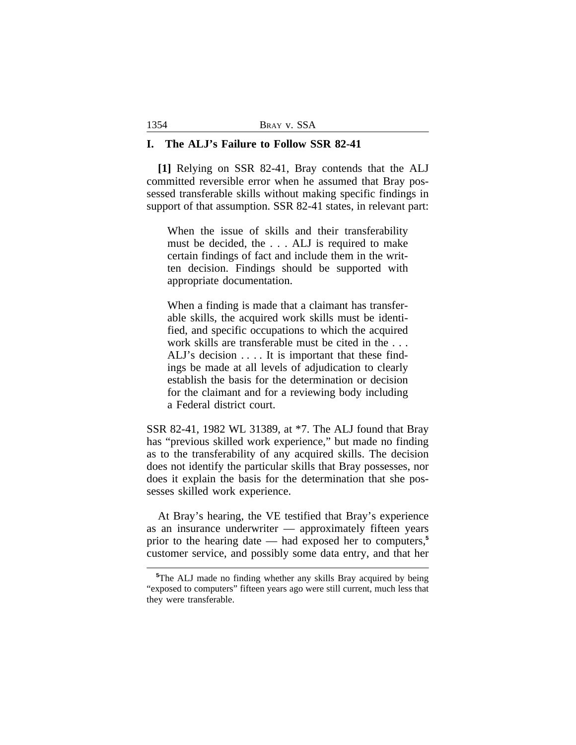#### **I. The ALJ's Failure to Follow SSR 82-41**

**[1]** Relying on SSR 82-41, Bray contends that the ALJ committed reversible error when he assumed that Bray possessed transferable skills without making specific findings in support of that assumption. SSR 82-41 states, in relevant part:

When the issue of skills and their transferability must be decided, the . . . ALJ is required to make certain findings of fact and include them in the written decision. Findings should be supported with appropriate documentation.

When a finding is made that a claimant has transferable skills, the acquired work skills must be identified, and specific occupations to which the acquired work skills are transferable must be cited in the . . . ALJ's decision . . . . It is important that these findings be made at all levels of adjudication to clearly establish the basis for the determination or decision for the claimant and for a reviewing body including a Federal district court.

SSR 82-41, 1982 WL 31389, at \*7. The ALJ found that Bray has "previous skilled work experience," but made no finding as to the transferability of any acquired skills. The decision does not identify the particular skills that Bray possesses, nor does it explain the basis for the determination that she possesses skilled work experience.

At Bray's hearing, the VE testified that Bray's experience as an insurance underwriter — approximately fifteen years prior to the hearing date — had exposed her to computers,**<sup>5</sup>** customer service, and possibly some data entry, and that her

**<sup>5</sup>**The ALJ made no finding whether any skills Bray acquired by being "exposed to computers" fifteen years ago were still current, much less that they were transferable.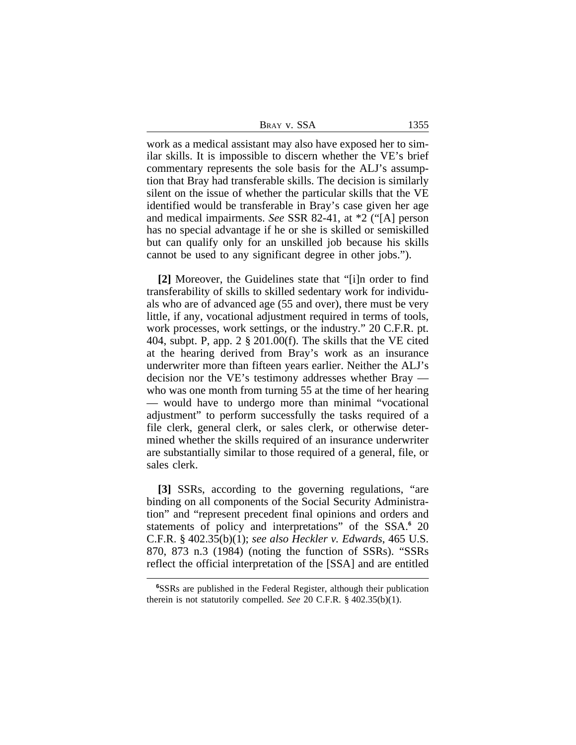| Bray v. SSA | 1355 |  |
|-------------|------|--|
|             |      |  |

work as a medical assistant may also have exposed her to similar skills. It is impossible to discern whether the VE's brief commentary represents the sole basis for the ALJ's assumption that Bray had transferable skills. The decision is similarly silent on the issue of whether the particular skills that the VE identified would be transferable in Bray's case given her age and medical impairments. *See* SSR 82-41, at \*2 ("[A] person has no special advantage if he or she is skilled or semiskilled but can qualify only for an unskilled job because his skills cannot be used to any significant degree in other jobs.").

**[2]** Moreover, the Guidelines state that "[i]n order to find transferability of skills to skilled sedentary work for individuals who are of advanced age (55 and over), there must be very little, if any, vocational adjustment required in terms of tools, work processes, work settings, or the industry." 20 C.F.R. pt. 404, subpt. P, app. 2 § 201.00(f). The skills that the VE cited at the hearing derived from Bray's work as an insurance underwriter more than fifteen years earlier. Neither the ALJ's decision nor the VE's testimony addresses whether Bray who was one month from turning 55 at the time of her hearing — would have to undergo more than minimal "vocational adjustment" to perform successfully the tasks required of a file clerk, general clerk, or sales clerk, or otherwise determined whether the skills required of an insurance underwriter are substantially similar to those required of a general, file, or sales clerk.

**[3]** SSRs, according to the governing regulations, "are binding on all components of the Social Security Administration" and "represent precedent final opinions and orders and statements of policy and interpretations" of the SSA.**<sup>6</sup>** 20 C.F.R. § 402.35(b)(1); *see also Heckler v. Edwards*, 465 U.S. 870, 873 n.3 (1984) (noting the function of SSRs). "SSRs reflect the official interpretation of the [SSA] and are entitled

**<sup>6</sup>**SSRs are published in the Federal Register, although their publication therein is not statutorily compelled. *See* 20 C.F.R. § 402.35(b)(1).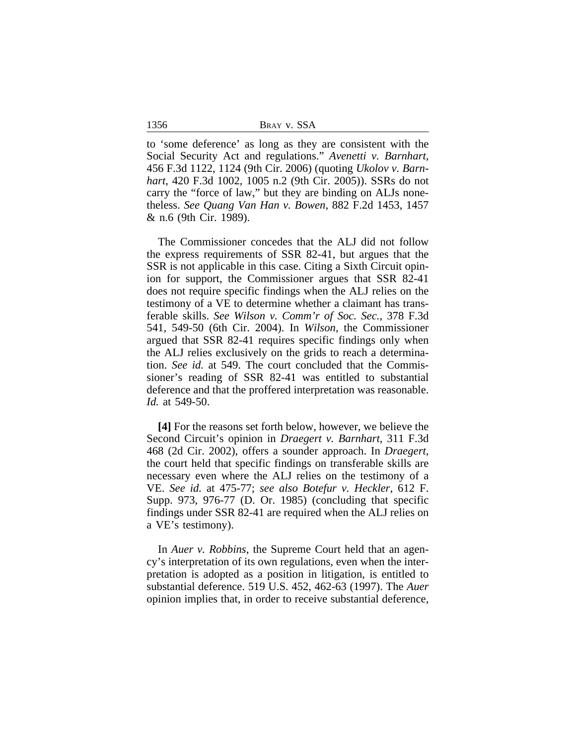1356 BRAY v. SSA

to 'some deference' as long as they are consistent with the Social Security Act and regulations." *Avenetti v. Barnhart*, 456 F.3d 1122, 1124 (9th Cir. 2006) (quoting *Ukolov v. Barnhart*, 420 F.3d 1002, 1005 n.2 (9th Cir. 2005)). SSRs do not carry the "force of law," but they are binding on ALJs nonetheless. *See Quang Van Han v. Bowen*, 882 F.2d 1453, 1457 & n.6 (9th Cir. 1989).

The Commissioner concedes that the ALJ did not follow the express requirements of SSR 82-41, but argues that the SSR is not applicable in this case. Citing a Sixth Circuit opinion for support, the Commissioner argues that SSR 82-41 does not require specific findings when the ALJ relies on the testimony of a VE to determine whether a claimant has transferable skills. *See Wilson v. Comm'r of Soc. Sec.*, 378 F.3d 541, 549-50 (6th Cir. 2004). In *Wilson*, the Commissioner argued that SSR 82-41 requires specific findings only when the ALJ relies exclusively on the grids to reach a determination. *See id.* at 549. The court concluded that the Commissioner's reading of SSR 82-41 was entitled to substantial deference and that the proffered interpretation was reasonable. *Id.* at 549-50.

**[4]** For the reasons set forth below, however, we believe the Second Circuit's opinion in *Draegert v. Barnhart*, 311 F.3d 468 (2d Cir. 2002), offers a sounder approach. In *Draegert*, the court held that specific findings on transferable skills are necessary even where the ALJ relies on the testimony of a VE. *See id.* at 475-77; *see also Botefur v. Heckler*, 612 F. Supp. 973, 976-77 (D. Or. 1985) (concluding that specific findings under SSR 82-41 are required when the ALJ relies on a VE's testimony).

In *Auer v. Robbins*, the Supreme Court held that an agency's interpretation of its own regulations, even when the interpretation is adopted as a position in litigation, is entitled to substantial deference. 519 U.S. 452, 462-63 (1997). The *Auer* opinion implies that, in order to receive substantial deference,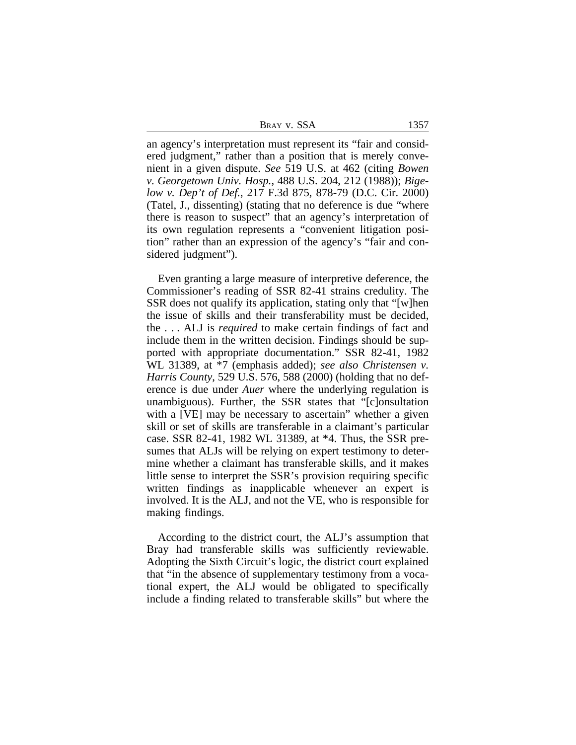| Bray v. SSA |  |  |
|-------------|--|--|
|             |  |  |

an agency's interpretation must represent its "fair and considered judgment," rather than a position that is merely convenient in a given dispute. *See* 519 U.S. at 462 (citing *Bowen v. Georgetown Univ. Hosp.*, 488 U.S. 204, 212 (1988)); *Bigelow v. Dep't of Def.*, 217 F.3d 875, 878-79 (D.C. Cir. 2000) (Tatel, J., dissenting) (stating that no deference is due "where there is reason to suspect" that an agency's interpretation of its own regulation represents a "convenient litigation position" rather than an expression of the agency's "fair and considered judgment").

Even granting a large measure of interpretive deference, the Commissioner's reading of SSR 82-41 strains credulity. The SSR does not qualify its application, stating only that "[w]hen the issue of skills and their transferability must be decided, the . . . ALJ is *required* to make certain findings of fact and include them in the written decision. Findings should be supported with appropriate documentation." SSR 82-41, 1982 WL 31389, at \*7 (emphasis added); *see also Christensen v. Harris County*, 529 U.S. 576, 588 (2000) (holding that no deference is due under *Auer* where the underlying regulation is unambiguous). Further, the SSR states that "[c]onsultation with a [VE] may be necessary to ascertain" whether a given skill or set of skills are transferable in a claimant's particular case. SSR 82-41, 1982 WL 31389, at \*4. Thus, the SSR presumes that ALJs will be relying on expert testimony to determine whether a claimant has transferable skills, and it makes little sense to interpret the SSR's provision requiring specific written findings as inapplicable whenever an expert is involved. It is the ALJ, and not the VE, who is responsible for making findings.

According to the district court, the ALJ's assumption that Bray had transferable skills was sufficiently reviewable. Adopting the Sixth Circuit's logic, the district court explained that "in the absence of supplementary testimony from a vocational expert, the ALJ would be obligated to specifically include a finding related to transferable skills" but where the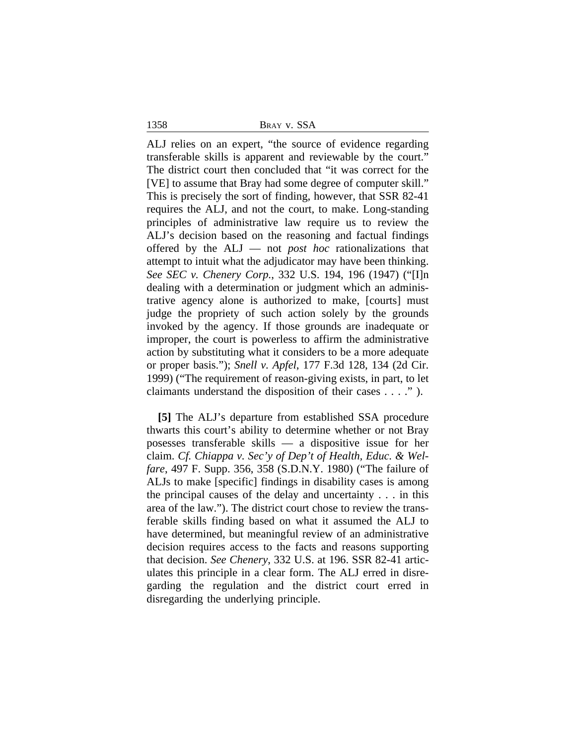1358 BRAY v. SSA

ALJ relies on an expert, "the source of evidence regarding transferable skills is apparent and reviewable by the court." The district court then concluded that "it was correct for the [VE] to assume that Bray had some degree of computer skill." This is precisely the sort of finding, however, that SSR 82-41 requires the ALJ, and not the court, to make. Long-standing principles of administrative law require us to review the ALJ's decision based on the reasoning and factual findings offered by the ALJ — not *post hoc* rationalizations that attempt to intuit what the adjudicator may have been thinking. *See SEC v. Chenery Corp.*, 332 U.S. 194, 196 (1947) ("[I]n dealing with a determination or judgment which an administrative agency alone is authorized to make, [courts] must judge the propriety of such action solely by the grounds invoked by the agency. If those grounds are inadequate or improper, the court is powerless to affirm the administrative action by substituting what it considers to be a more adequate or proper basis."); *Snell v. Apfel*, 177 F.3d 128, 134 (2d Cir. 1999) ("The requirement of reason-giving exists, in part, to let claimants understand the disposition of their cases . . . ." ).

**[5]** The ALJ's departure from established SSA procedure thwarts this court's ability to determine whether or not Bray posesses transferable skills — a dispositive issue for her claim. *Cf. Chiappa v. Sec'y of Dep't of Health, Educ. & Welfare*, 497 F. Supp. 356, 358 (S.D.N.Y. 1980) ("The failure of ALJs to make [specific] findings in disability cases is among the principal causes of the delay and uncertainty . . . in this area of the law."). The district court chose to review the transferable skills finding based on what it assumed the ALJ to have determined, but meaningful review of an administrative decision requires access to the facts and reasons supporting that decision. *See Chenery*, 332 U.S. at 196. SSR 82-41 articulates this principle in a clear form. The ALJ erred in disregarding the regulation and the district court erred in disregarding the underlying principle.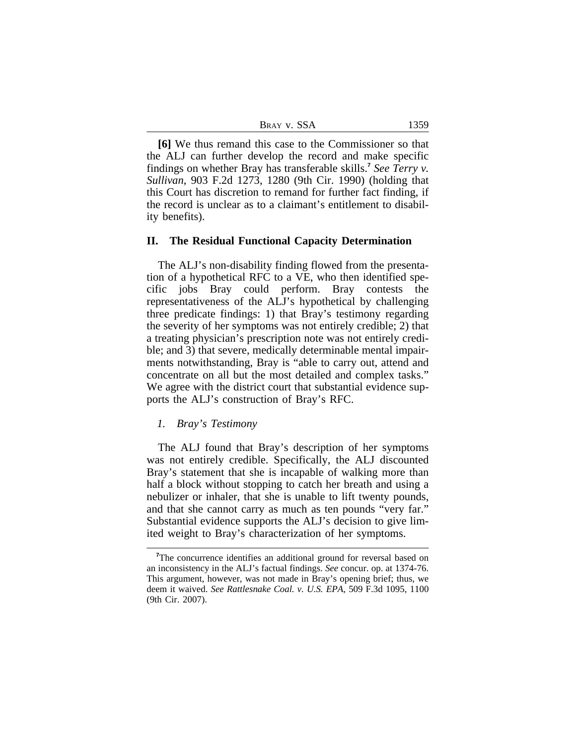| Bray v. SSA | 1359 |
|-------------|------|
|-------------|------|

**[6]** We thus remand this case to the Commissioner so that the ALJ can further develop the record and make specific findings on whether Bray has transferable skills.**<sup>7</sup>** *See Terry v. Sullivan*, 903 F.2d 1273, 1280 (9th Cir. 1990) (holding that this Court has discretion to remand for further fact finding, if the record is unclear as to a claimant's entitlement to disability benefits).

#### **II. The Residual Functional Capacity Determination**

The ALJ's non-disability finding flowed from the presentation of a hypothetical RFC to a VE, who then identified specific jobs Bray could perform. Bray contests the representativeness of the ALJ's hypothetical by challenging three predicate findings: 1) that Bray's testimony regarding the severity of her symptoms was not entirely credible; 2) that a treating physician's prescription note was not entirely credible; and 3) that severe, medically determinable mental impairments notwithstanding, Bray is "able to carry out, attend and concentrate on all but the most detailed and complex tasks." We agree with the district court that substantial evidence supports the ALJ's construction of Bray's RFC.

#### *1. Bray's Testimony*

The ALJ found that Bray's description of her symptoms was not entirely credible. Specifically, the ALJ discounted Bray's statement that she is incapable of walking more than half a block without stopping to catch her breath and using a nebulizer or inhaler, that she is unable to lift twenty pounds, and that she cannot carry as much as ten pounds "very far." Substantial evidence supports the ALJ's decision to give limited weight to Bray's characterization of her symptoms.

<sup>&</sup>lt;sup>7</sup>The concurrence identifies an additional ground for reversal based on an inconsistency in the ALJ's factual findings. *See* concur. op. at 1374-76. This argument, however, was not made in Bray's opening brief; thus, we deem it waived. *See Rattlesnake Coal. v. U.S. EPA*, 509 F.3d 1095, 1100 (9th Cir. 2007).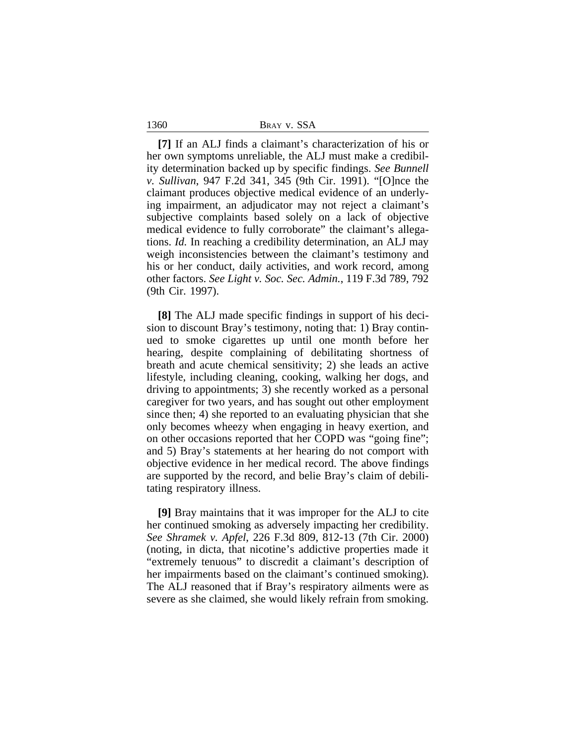1360 BRAY v. SSA

**[7]** If an ALJ finds a claimant's characterization of his or her own symptoms unreliable, the ALJ must make a credibility determination backed up by specific findings. *See Bunnell v. Sullivan*, 947 F.2d 341, 345 (9th Cir. 1991). "[O]nce the claimant produces objective medical evidence of an underlying impairment, an adjudicator may not reject a claimant's subjective complaints based solely on a lack of objective medical evidence to fully corroborate" the claimant's allegations. *Id.* In reaching a credibility determination, an ALJ may weigh inconsistencies between the claimant's testimony and his or her conduct, daily activities, and work record, among other factors. *See Light v. Soc. Sec. Admin.*, 119 F.3d 789, 792 (9th Cir. 1997).

**[8]** The ALJ made specific findings in support of his decision to discount Bray's testimony, noting that: 1) Bray continued to smoke cigarettes up until one month before her hearing, despite complaining of debilitating shortness of breath and acute chemical sensitivity; 2) she leads an active lifestyle, including cleaning, cooking, walking her dogs, and driving to appointments; 3) she recently worked as a personal caregiver for two years, and has sought out other employment since then; 4) she reported to an evaluating physician that she only becomes wheezy when engaging in heavy exertion, and on other occasions reported that her COPD was "going fine"; and 5) Bray's statements at her hearing do not comport with objective evidence in her medical record. The above findings are supported by the record, and belie Bray's claim of debilitating respiratory illness.

**[9]** Bray maintains that it was improper for the ALJ to cite her continued smoking as adversely impacting her credibility. *See Shramek v. Apfel*, 226 F.3d 809, 812-13 (7th Cir. 2000) (noting, in dicta, that nicotine's addictive properties made it "extremely tenuous" to discredit a claimant's description of her impairments based on the claimant's continued smoking). The ALJ reasoned that if Bray's respiratory ailments were as severe as she claimed, she would likely refrain from smoking.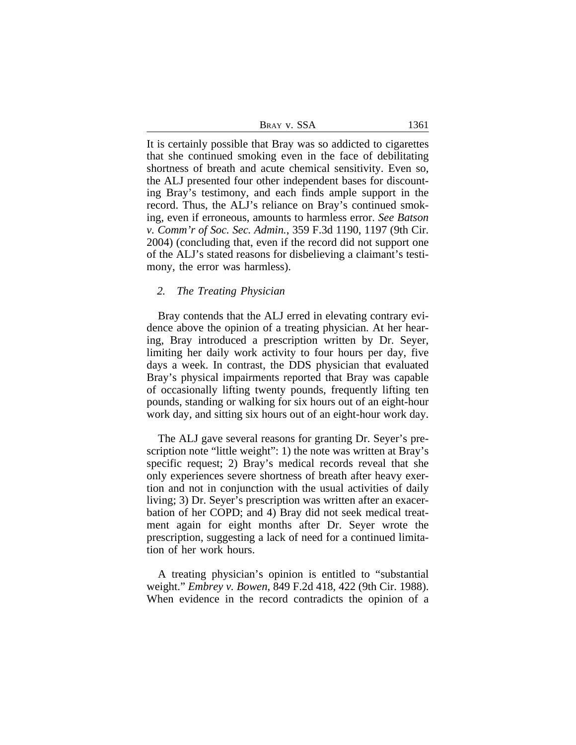| BRAY V. SSA | 1361 |
|-------------|------|
|             |      |

It is certainly possible that Bray was so addicted to cigarettes that she continued smoking even in the face of debilitating shortness of breath and acute chemical sensitivity. Even so, the ALJ presented four other independent bases for discounting Bray's testimony, and each finds ample support in the record. Thus, the ALJ's reliance on Bray's continued smoking, even if erroneous, amounts to harmless error. *See Batson v. Comm'r of Soc. Sec. Admin.*, 359 F.3d 1190, 1197 (9th Cir. 2004) (concluding that, even if the record did not support one of the ALJ's stated reasons for disbelieving a claimant's testimony, the error was harmless).

## *2. The Treating Physician*

Bray contends that the ALJ erred in elevating contrary evidence above the opinion of a treating physician. At her hearing, Bray introduced a prescription written by Dr. Seyer, limiting her daily work activity to four hours per day, five days a week. In contrast, the DDS physician that evaluated Bray's physical impairments reported that Bray was capable of occasionally lifting twenty pounds, frequently lifting ten pounds, standing or walking for six hours out of an eight-hour work day, and sitting six hours out of an eight-hour work day.

The ALJ gave several reasons for granting Dr. Seyer's prescription note "little weight": 1) the note was written at Bray's specific request; 2) Bray's medical records reveal that she only experiences severe shortness of breath after heavy exertion and not in conjunction with the usual activities of daily living; 3) Dr. Seyer's prescription was written after an exacerbation of her COPD; and 4) Bray did not seek medical treatment again for eight months after Dr. Seyer wrote the prescription, suggesting a lack of need for a continued limitation of her work hours.

A treating physician's opinion is entitled to "substantial weight." *Embrey v. Bowen*, 849 F.2d 418, 422 (9th Cir. 1988). When evidence in the record contradicts the opinion of a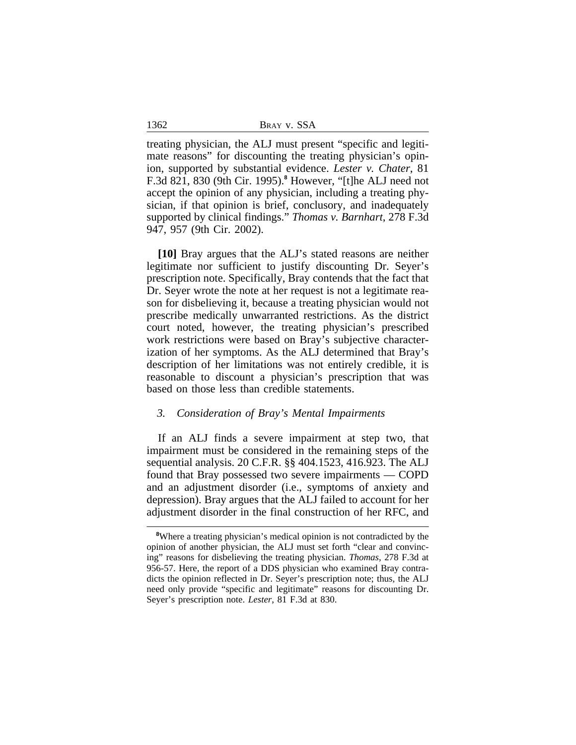treating physician, the ALJ must present "specific and legitimate reasons" for discounting the treating physician's opinion, supported by substantial evidence. *Lester v. Chater*, 81 F.3d 821, 830 (9th Cir. 1995).**<sup>8</sup>** However, "[t]he ALJ need not accept the opinion of any physician, including a treating physician, if that opinion is brief, conclusory, and inadequately supported by clinical findings." *Thomas v. Barnhart*, 278 F.3d 947, 957 (9th Cir. 2002).

**[10]** Bray argues that the ALJ's stated reasons are neither legitimate nor sufficient to justify discounting Dr. Seyer's prescription note. Specifically, Bray contends that the fact that Dr. Seyer wrote the note at her request is not a legitimate reason for disbelieving it, because a treating physician would not prescribe medically unwarranted restrictions. As the district court noted, however, the treating physician's prescribed work restrictions were based on Bray's subjective characterization of her symptoms. As the ALJ determined that Bray's description of her limitations was not entirely credible, it is reasonable to discount a physician's prescription that was based on those less than credible statements.

# *3. Consideration of Bray's Mental Impairments*

If an ALJ finds a severe impairment at step two, that impairment must be considered in the remaining steps of the sequential analysis. 20 C.F.R. §§ 404.1523, 416.923. The ALJ found that Bray possessed two severe impairments — COPD and an adjustment disorder (i.e., symptoms of anxiety and depression). Bray argues that the ALJ failed to account for her adjustment disorder in the final construction of her RFC, and

**<sup>8</sup>**Where a treating physician's medical opinion is not contradicted by the opinion of another physician, the ALJ must set forth "clear and convincing" reasons for disbelieving the treating physician. *Thomas*, 278 F.3d at 956-57. Here, the report of a DDS physician who examined Bray contradicts the opinion reflected in Dr. Seyer's prescription note; thus, the ALJ need only provide "specific and legitimate" reasons for discounting Dr. Seyer's prescription note. *Lester*, 81 F.3d at 830.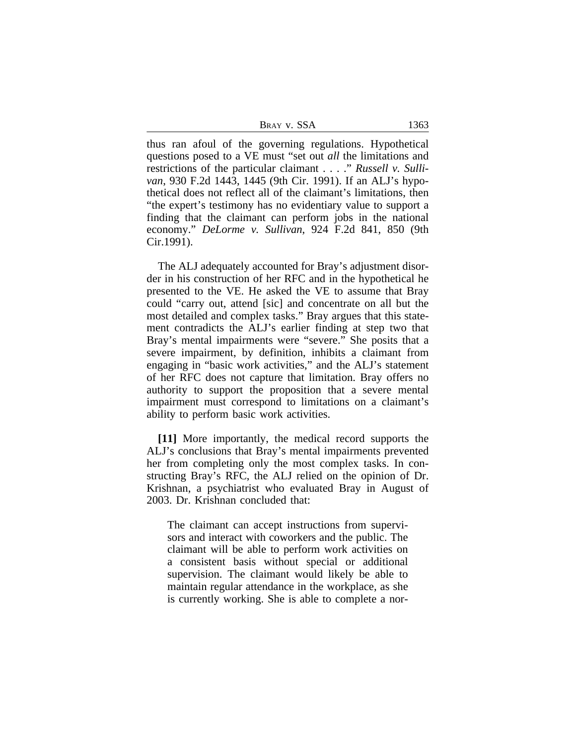| Bray v. SSA |  |  |  |
|-------------|--|--|--|
|-------------|--|--|--|

thus ran afoul of the governing regulations. Hypothetical questions posed to a VE must "set out *all* the limitations and restrictions of the particular claimant . . . ." *Russell v. Sullivan*, 930 F.2d 1443, 1445 (9th Cir. 1991). If an ALJ's hypothetical does not reflect all of the claimant's limitations, then "the expert's testimony has no evidentiary value to support a finding that the claimant can perform jobs in the national economy." *DeLorme v. Sullivan*, 924 F.2d 841, 850 (9th Cir.1991).

The ALJ adequately accounted for Bray's adjustment disorder in his construction of her RFC and in the hypothetical he presented to the VE. He asked the VE to assume that Bray could "carry out, attend [sic] and concentrate on all but the most detailed and complex tasks." Bray argues that this statement contradicts the ALJ's earlier finding at step two that Bray's mental impairments were "severe." She posits that a severe impairment, by definition, inhibits a claimant from engaging in "basic work activities," and the ALJ's statement of her RFC does not capture that limitation. Bray offers no authority to support the proposition that a severe mental impairment must correspond to limitations on a claimant's ability to perform basic work activities.

**[11]** More importantly, the medical record supports the ALJ's conclusions that Bray's mental impairments prevented her from completing only the most complex tasks. In constructing Bray's RFC, the ALJ relied on the opinion of Dr. Krishnan, a psychiatrist who evaluated Bray in August of 2003. Dr. Krishnan concluded that:

The claimant can accept instructions from supervisors and interact with coworkers and the public. The claimant will be able to perform work activities on a consistent basis without special or additional supervision. The claimant would likely be able to maintain regular attendance in the workplace, as she is currently working. She is able to complete a nor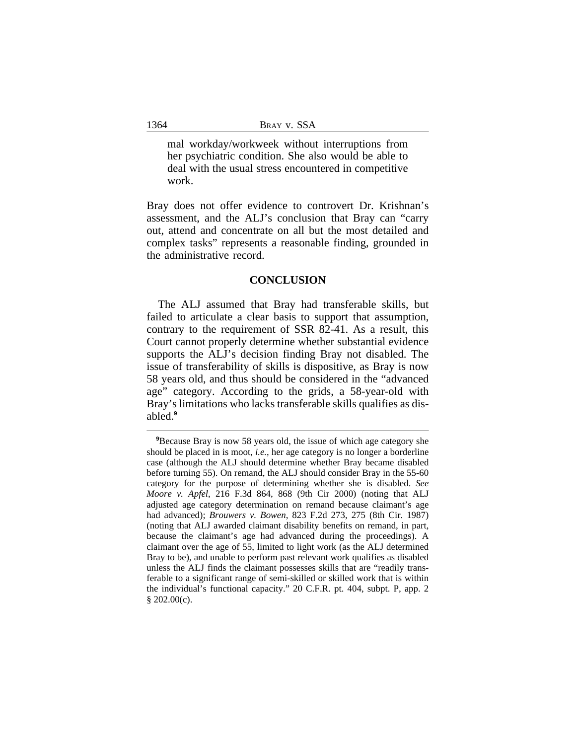mal workday/workweek without interruptions from her psychiatric condition. She also would be able to deal with the usual stress encountered in competitive work.

Bray does not offer evidence to controvert Dr. Krishnan's assessment, and the ALJ's conclusion that Bray can "carry out, attend and concentrate on all but the most detailed and complex tasks" represents a reasonable finding, grounded in the administrative record.

#### **CONCLUSION**

The ALJ assumed that Bray had transferable skills, but failed to articulate a clear basis to support that assumption, contrary to the requirement of SSR 82-41. As a result, this Court cannot properly determine whether substantial evidence supports the ALJ's decision finding Bray not disabled. The issue of transferability of skills is dispositive, as Bray is now 58 years old, and thus should be considered in the "advanced age" category. According to the grids, a 58-year-old with Bray's limitations who lacks transferable skills qualifies as disabled.**<sup>9</sup>**

**<sup>9</sup>**Because Bray is now 58 years old, the issue of which age category she should be placed in is moot, *i.e.*, her age category is no longer a borderline case (although the ALJ should determine whether Bray became disabled before turning 55). On remand, the ALJ should consider Bray in the 55-60 category for the purpose of determining whether she is disabled. *See Moore v. Apfel*, 216 F.3d 864, 868 (9th Cir 2000) (noting that ALJ adjusted age category determination on remand because claimant's age had advanced); *Brouwers v. Bowen*, 823 F.2d 273, 275 (8th Cir. 1987) (noting that ALJ awarded claimant disability benefits on remand, in part, because the claimant's age had advanced during the proceedings). A claimant over the age of 55, limited to light work (as the ALJ determined Bray to be), and unable to perform past relevant work qualifies as disabled unless the ALJ finds the claimant possesses skills that are "readily transferable to a significant range of semi-skilled or skilled work that is within the individual's functional capacity." 20 C.F.R. pt. 404, subpt. P, app. 2 § 202.00(c).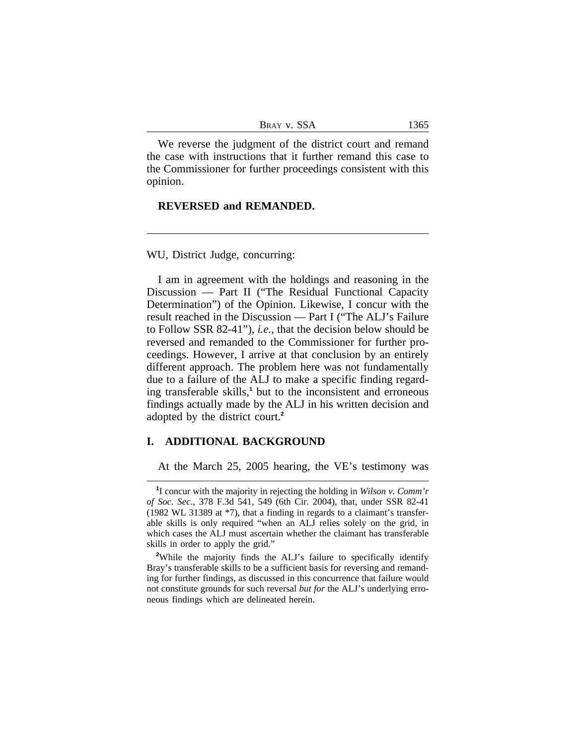| Bray v. SSA |  |  |  |
|-------------|--|--|--|
|-------------|--|--|--|

We reverse the judgment of the district court and remand the case with instructions that it further remand this case to the Commissioner for further proceedings consistent with this opinion.

# **REVERSED and REMANDED.**

WU, District Judge, concurring:

I am in agreement with the holdings and reasoning in the Discussion — Part II ("The Residual Functional Capacity Determination") of the Opinion. Likewise, I concur with the result reached in the Discussion — Part I ("The ALJ's Failure to Follow SSR 82-41"), *i.e.*, that the decision below should be reversed and remanded to the Commissioner for further proceedings. However, I arrive at that conclusion by an entirely different approach. The problem here was not fundamentally due to a failure of the ALJ to make a specific finding regarding transferable skills,**<sup>1</sup>** but to the inconsistent and erroneous findings actually made by the ALJ in his written decision and adopted by the district court.**<sup>2</sup>**

# **I. ADDITIONAL BACKGROUND**

At the March 25, 2005 hearing, the VE's testimony was

**<sup>1</sup>** I concur with the majority in rejecting the holding in *Wilson v. Comm'r of Soc. Sec.*, 378 F.3d 541, 549 (6th Cir. 2004), that, under SSR 82-41 (1982 WL 31389 at \*7), that a finding in regards to a claimant's transferable skills is only required "when an ALJ relies solely on the grid, in which cases the ALJ must ascertain whether the claimant has transferable skills in order to apply the grid."

<sup>&</sup>lt;sup>2</sup>While the majority finds the ALJ's failure to specifically identify Bray's transferable skills to be a sufficient basis for reversing and remanding for further findings, as discussed in this concurrence that failure would not constitute grounds for such reversal *but for* the ALJ's underlying erroneous findings which are delineated herein.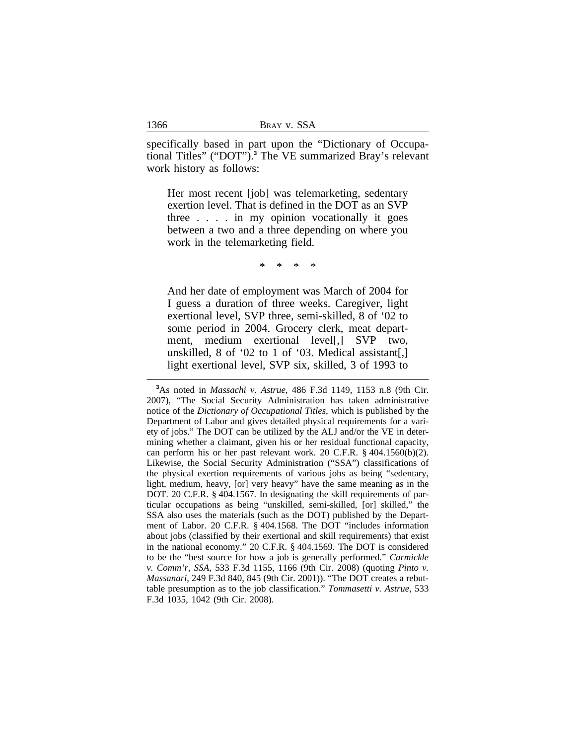specifically based in part upon the "Dictionary of Occupational Titles" ("DOT").**<sup>3</sup>** The VE summarized Bray's relevant work history as follows:

Her most recent [job] was telemarketing, sedentary exertion level. That is defined in the DOT as an SVP three . . . . in my opinion vocationally it goes between a two and a three depending on where you work in the telemarketing field.

\* \* \* \*

And her date of employment was March of 2004 for I guess a duration of three weeks. Caregiver, light exertional level, SVP three, semi-skilled, 8 of '02 to some period in 2004. Grocery clerk, meat department, medium exertional level[,] SVP two, unskilled, 8 of '02 to 1 of '03. Medical assistant[,] light exertional level, SVP six, skilled, 3 of 1993 to

**<sup>3</sup>**As noted in *Massachi v. Astrue*, 486 F.3d 1149, 1153 n.8 (9th Cir. 2007), "The Social Security Administration has taken administrative notice of the *Dictionary of Occupational Titles*, which is published by the Department of Labor and gives detailed physical requirements for a variety of jobs." The DOT can be utilized by the ALJ and/or the VE in determining whether a claimant, given his or her residual functional capacity, can perform his or her past relevant work. 20 C.F.R. § 404.1560(b)(2). Likewise, the Social Security Administration ("SSA") classifications of the physical exertion requirements of various jobs as being "sedentary, light, medium, heavy, [or] very heavy" have the same meaning as in the DOT. 20 C.F.R. § 404.1567. In designating the skill requirements of particular occupations as being "unskilled, semi-skilled, [or] skilled," the SSA also uses the materials (such as the DOT) published by the Department of Labor. 20 C.F.R. § 404.1568. The DOT "includes information about jobs (classified by their exertional and skill requirements) that exist in the national economy." 20 C.F.R. § 404.1569. The DOT is considered to be the "best source for how a job is generally performed." *Carmickle v. Comm'r, SSA*, 533 F.3d 1155, 1166 (9th Cir. 2008) (quoting *Pinto v. Massanari*, 249 F.3d 840, 845 (9th Cir. 2001)). "The DOT creates a rebuttable presumption as to the job classification." *Tommasetti v. Astrue*, 533 F.3d 1035, 1042 (9th Cir. 2008).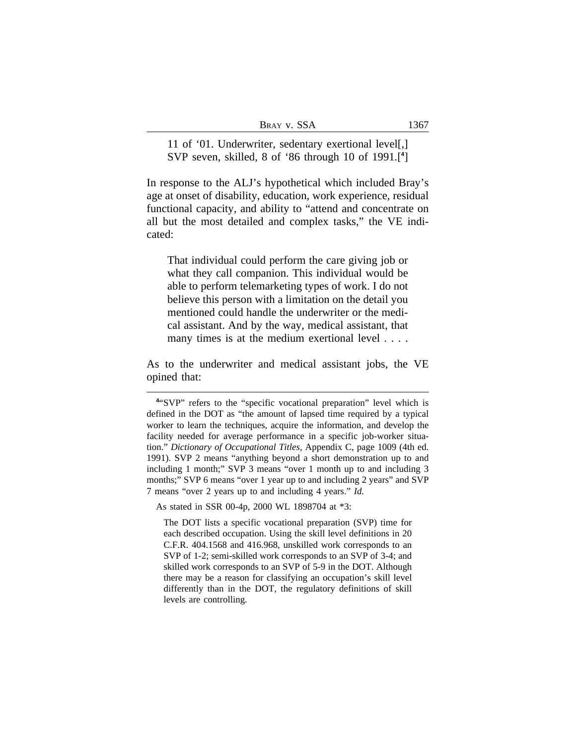11 of '01. Underwriter, sedentary exertional level[,] SVP seven, skilled, 8 of '86 through 10 of 1991.[**<sup>4</sup>** ]

In response to the ALJ's hypothetical which included Bray's age at onset of disability, education, work experience, residual functional capacity, and ability to "attend and concentrate on all but the most detailed and complex tasks," the VE indicated:

That individual could perform the care giving job or what they call companion. This individual would be able to perform telemarketing types of work. I do not believe this person with a limitation on the detail you mentioned could handle the underwriter or the medical assistant. And by the way, medical assistant, that many times is at the medium exertional level . . . .

As to the underwriter and medical assistant jobs, the VE opined that:

As stated in SSR 00-4p, 2000 WL 1898704 at \*3:

The DOT lists a specific vocational preparation (SVP) time for each described occupation. Using the skill level definitions in 20 C.F.R. 404.1568 and 416.968, unskilled work corresponds to an SVP of 1-2; semi-skilled work corresponds to an SVP of 3-4; and skilled work corresponds to an SVP of 5-9 in the DOT. Although there may be a reason for classifying an occupation's skill level differently than in the DOT, the regulatory definitions of skill levels are controlling.

**<sup>4</sup>** "SVP" refers to the "specific vocational preparation" level which is defined in the DOT as "the amount of lapsed time required by a typical worker to learn the techniques, acquire the information, and develop the facility needed for average performance in a specific job-worker situation." *Dictionary of Occupational Titles*, Appendix C, page 1009 (4th ed. 1991). SVP 2 means "anything beyond a short demonstration up to and including 1 month;" SVP 3 means "over 1 month up to and including 3 months;" SVP 6 means "over 1 year up to and including 2 years" and SVP 7 means "over 2 years up to and including 4 years." *Id.*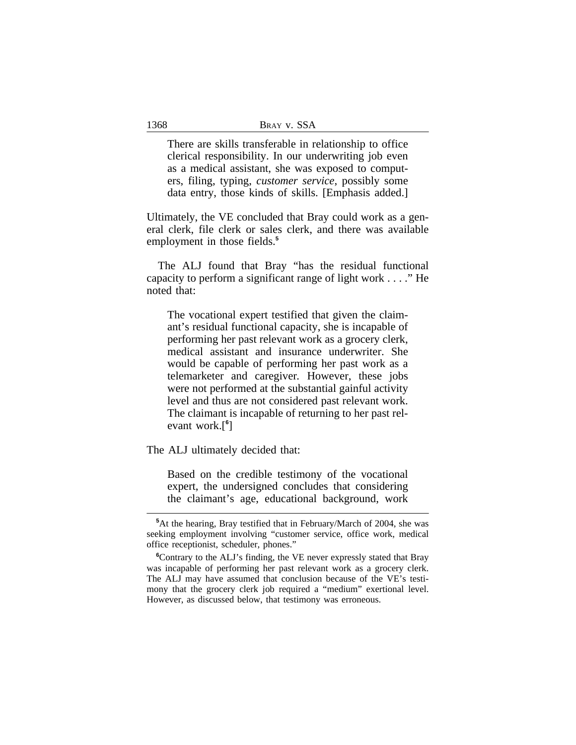There are skills transferable in relationship to office clerical responsibility. In our underwriting job even as a medical assistant, she was exposed to computers, filing, typing, *customer service*, possibly some data entry, those kinds of skills. [Emphasis added.]

Ultimately, the VE concluded that Bray could work as a general clerk, file clerk or sales clerk, and there was available employment in those fields.**<sup>5</sup>**

The ALJ found that Bray "has the residual functional capacity to perform a significant range of light work . . . ." He noted that:

The vocational expert testified that given the claimant's residual functional capacity, she is incapable of performing her past relevant work as a grocery clerk, medical assistant and insurance underwriter. She would be capable of performing her past work as a telemarketer and caregiver*.* However, these jobs were not performed at the substantial gainful activity level and thus are not considered past relevant work. The claimant is incapable of returning to her past relevant work.[**<sup>6</sup>** ]

The ALJ ultimately decided that:

Based on the credible testimony of the vocational expert, the undersigned concludes that considering the claimant's age, educational background, work

**<sup>5</sup>**At the hearing, Bray testified that in February/March of 2004, she was seeking employment involving "customer service, office work, medical office receptionist, scheduler, phones."

**<sup>6</sup>**Contrary to the ALJ's finding, the VE never expressly stated that Bray was incapable of performing her past relevant work as a grocery clerk. The ALJ may have assumed that conclusion because of the VE's testimony that the grocery clerk job required a "medium" exertional level. However, as discussed below, that testimony was erroneous.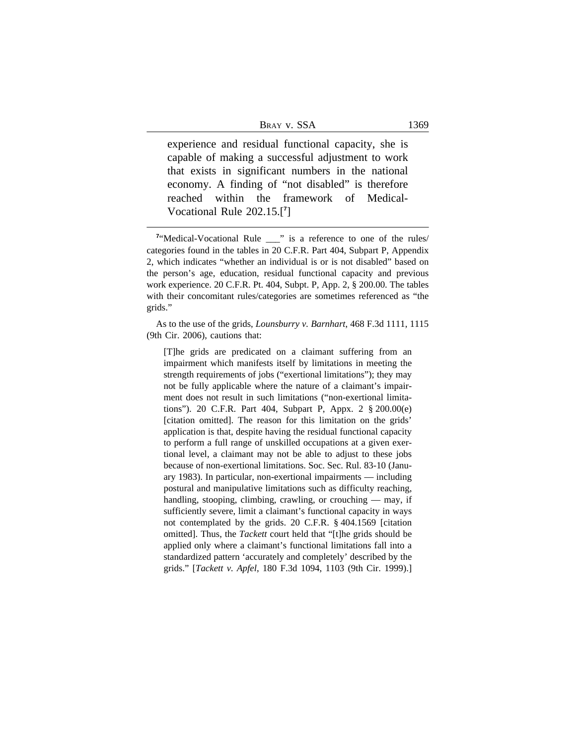experience and residual functional capacity, she is capable of making a successful adjustment to work that exists in significant numbers in the national economy. A finding of "not disabled" is therefore reached within the framework of Medical-Vocational Rule 202.15.[**<sup>7</sup>** ]

As to the use of the grids, *Lounsburry v. Barnhart*, 468 F.3d 1111, 1115 (9th Cir. 2006), cautions that:

[T]he grids are predicated on a claimant suffering from an impairment which manifests itself by limitations in meeting the strength requirements of jobs ("exertional limitations"); they may not be fully applicable where the nature of a claimant's impairment does not result in such limitations ("non-exertional limitations"). 20 C.F.R. Part 404, Subpart P, Appx. 2 § 200.00(e) [citation omitted]. The reason for this limitation on the grids' application is that, despite having the residual functional capacity to perform a full range of unskilled occupations at a given exertional level, a claimant may not be able to adjust to these jobs because of non-exertional limitations. Soc. Sec. Rul. 83-10 (January 1983). In particular, non-exertional impairments — including postural and manipulative limitations such as difficulty reaching, handling, stooping, climbing, crawling, or crouching — may, if sufficiently severe, limit a claimant's functional capacity in ways not contemplated by the grids. 20 C.F.R. § 404.1569 [citation omitted]. Thus, the *Tackett* court held that "[t]he grids should be applied only where a claimant's functional limitations fall into a standardized pattern 'accurately and completely' described by the grids." [*Tackett v. Apfel*, 180 F.3d 1094, 1103 (9th Cir. 1999).]

<sup>&</sup>lt;sup>7</sup>"Medical-Vocational Rule \_\_\_" is a reference to one of the rules/ categories found in the tables in 20 C.F.R. Part 404, Subpart P, Appendix 2, which indicates "whether an individual is or is not disabled" based on the person's age, education, residual functional capacity and previous work experience. 20 C.F.R. Pt. 404, Subpt. P, App. 2, § 200.00. The tables with their concomitant rules/categories are sometimes referenced as "the grids."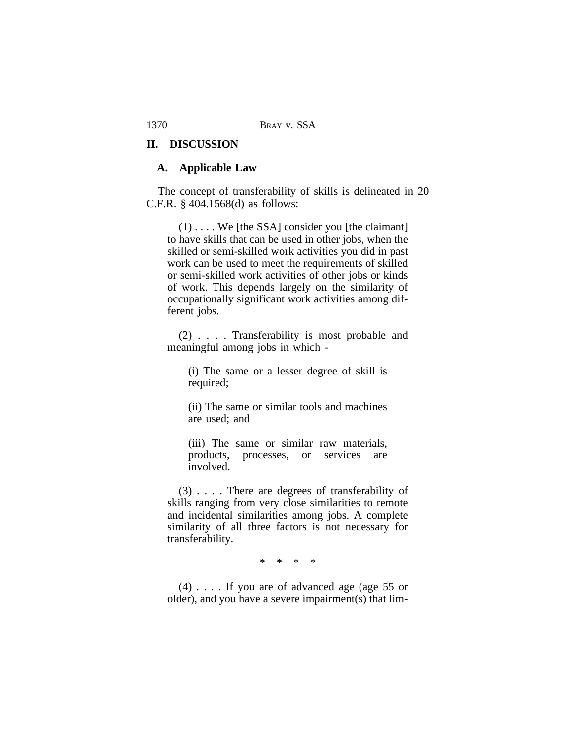# **II. DISCUSSION**

## **A. Applicable Law**

The concept of transferability of skills is delineated in 20 C.F.R. § 404.1568(d) as follows:

 $(1)$ ... We [the SSA] consider you [the claimant] to have skills that can be used in other jobs, when the skilled or semi-skilled work activities you did in past work can be used to meet the requirements of skilled or semi-skilled work activities of other jobs or kinds of work. This depends largely on the similarity of occupationally significant work activities among different jobs.

(2) . . . . Transferability is most probable and meaningful among jobs in which -

(i) The same or a lesser degree of skill is required;

(ii) The same or similar tools and machines are used; and

(iii) The same or similar raw materials, products, processes, or services are involved.

(3) . . . . There are degrees of transferability of skills ranging from very close similarities to remote and incidental similarities among jobs. A complete similarity of all three factors is not necessary for transferability.

\* \* \* \*

(4) . . . . If you are of advanced age (age 55 or older), and you have a severe impairment(s) that lim-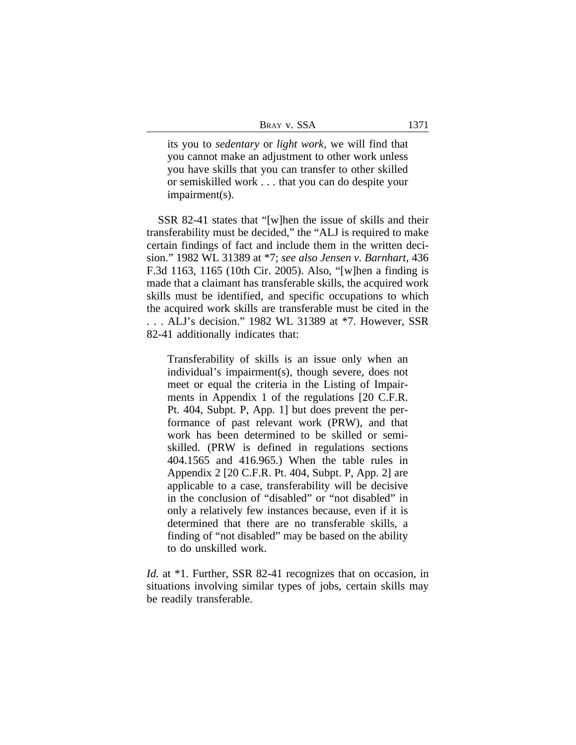| BRAY V. SSA |  |
|-------------|--|
|-------------|--|

its you to *sedentary* or *light work,* we will find that you cannot make an adjustment to other work unless you have skills that you can transfer to other skilled or semiskilled work . . . that you can do despite your impairment(s).

SSR 82-41 states that "[w]hen the issue of skills and their transferability must be decided," the "ALJ is required to make certain findings of fact and include them in the written decision." 1982 WL 31389 at \*7; *see also Jensen v. Barnhart*, 436 F.3d 1163, 1165 (10th Cir. 2005). Also, "[w]hen a finding is made that a claimant has transferable skills, the acquired work skills must be identified, and specific occupations to which the acquired work skills are transferable must be cited in the . . . ALJ's decision." 1982 WL 31389 at \*7. However, SSR 82-41 additionally indicates that:

Transferability of skills is an issue only when an individual's impairment(s), though severe, does not meet or equal the criteria in the Listing of Impairments in Appendix 1 of the regulations [20 C.F.R. Pt. 404, Subpt. P, App. 1] but does prevent the performance of past relevant work (PRW), and that work has been determined to be skilled or semiskilled. (PRW is defined in regulations sections 404.1565 and 416.965.) When the table rules in Appendix 2 [20 C.F.R. Pt. 404, Subpt. P, App. 2] are applicable to a case, transferability will be decisive in the conclusion of "disabled" or "not disabled" in only a relatively few instances because, even if it is determined that there are no transferable skills, a finding of "not disabled" may be based on the ability to do unskilled work.

*Id.* at \*1. Further, SSR 82-41 recognizes that on occasion, in situations involving similar types of jobs, certain skills may be readily transferable.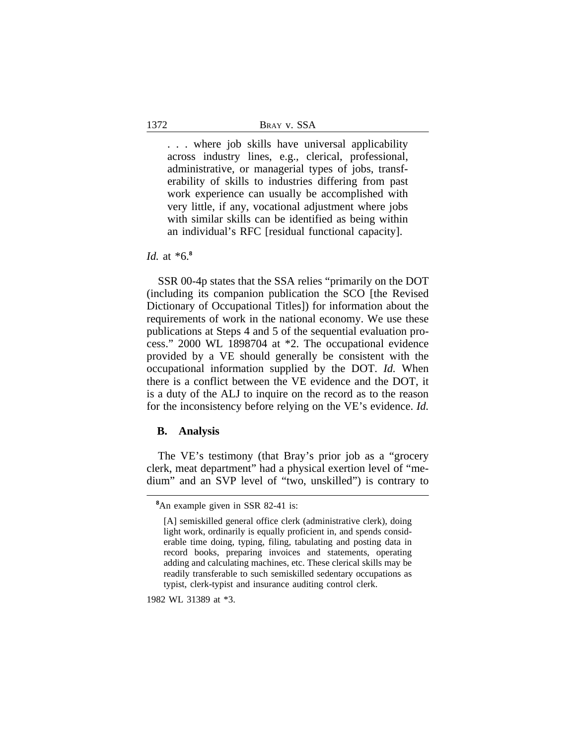. . . where job skills have universal applicability across industry lines, e.g., clerical, professional, administrative, or managerial types of jobs, transferability of skills to industries differing from past work experience can usually be accomplished with very little, if any, vocational adjustment where jobs with similar skills can be identified as being within an individual's RFC [residual functional capacity].

## *Id.* at \*6.**<sup>8</sup>**

SSR 00-4p states that the SSA relies "primarily on the DOT (including its companion publication the SCO [the Revised Dictionary of Occupational Titles]) for information about the requirements of work in the national economy. We use these publications at Steps 4 and 5 of the sequential evaluation process." 2000 WL 1898704 at \*2. The occupational evidence provided by a VE should generally be consistent with the occupational information supplied by the DOT. *Id.* When there is a conflict between the VE evidence and the DOT, it is a duty of the ALJ to inquire on the record as to the reason for the inconsistency before relying on the VE's evidence. *Id.*

### **B. Analysis**

The VE's testimony (that Bray's prior job as a "grocery clerk, meat department" had a physical exertion level of "medium" and an SVP level of "two, unskilled") is contrary to

1982 WL 31389 at \*3.

**<sup>8</sup>**An example given in SSR 82-41 is:

<sup>[</sup>A] semiskilled general office clerk (administrative clerk), doing light work, ordinarily is equally proficient in, and spends considerable time doing, typing, filing, tabulating and posting data in record books, preparing invoices and statements, operating adding and calculating machines, etc. These clerical skills may be readily transferable to such semiskilled sedentary occupations as typist, clerk-typist and insurance auditing control clerk.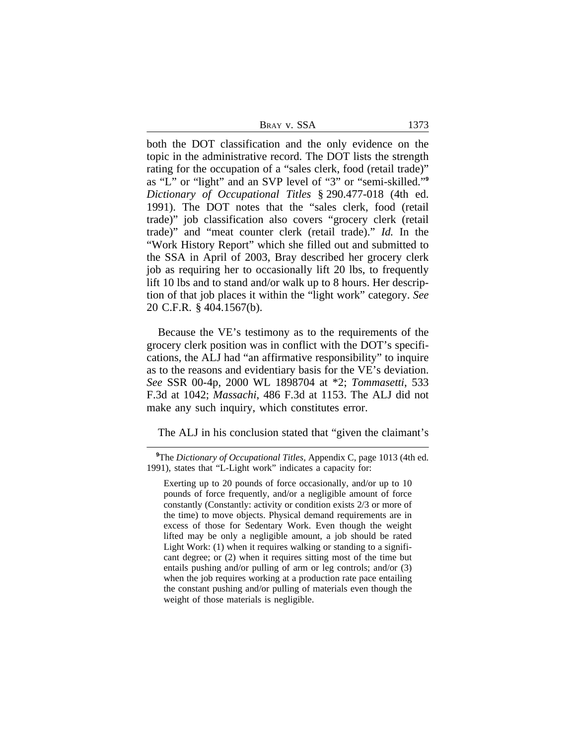| BRAY V. SSA | 1373 |  |
|-------------|------|--|
|             |      |  |

both the DOT classification and the only evidence on the topic in the administrative record. The DOT lists the strength rating for the occupation of a "sales clerk, food (retail trade)" as "L" or "light" and an SVP level of "3" or "semi-skilled." **9** *Dictionary of Occupational Titles* § 290.477-018 (4th ed. 1991). The DOT notes that the "sales clerk, food (retail trade)" job classification also covers "grocery clerk (retail trade)" and "meat counter clerk (retail trade)." *Id.* In the "Work History Report" which she filled out and submitted to the SSA in April of 2003, Bray described her grocery clerk job as requiring her to occasionally lift 20 lbs, to frequently lift 10 lbs and to stand and/or walk up to 8 hours. Her description of that job places it within the "light work" category. *See* 20 C.F.R. § 404.1567(b).

Because the VE's testimony as to the requirements of the grocery clerk position was in conflict with the DOT's specifications, the ALJ had "an affirmative responsibility" to inquire as to the reasons and evidentiary basis for the VE's deviation. *See* SSR 00-4p, 2000 WL 1898704 at \*2; *Tommasetti*, 533 F.3d at 1042; *Massachi*, 486 F.3d at 1153. The ALJ did not make any such inquiry, which constitutes error.

The ALJ in his conclusion stated that "given the claimant's

**<sup>9</sup>**The *Dictionary of Occupational Titles*, Appendix C, page 1013 (4th ed. 1991), states that "L-Light work" indicates a capacity for:

Exerting up to 20 pounds of force occasionally, and/or up to 10 pounds of force frequently, and/or a negligible amount of force constantly (Constantly: activity or condition exists 2/3 or more of the time) to move objects. Physical demand requirements are in excess of those for Sedentary Work. Even though the weight lifted may be only a negligible amount, a job should be rated Light Work: (1) when it requires walking or standing to a significant degree; or (2) when it requires sitting most of the time but entails pushing and/or pulling of arm or leg controls; and/or (3) when the job requires working at a production rate pace entailing the constant pushing and/or pulling of materials even though the weight of those materials is negligible.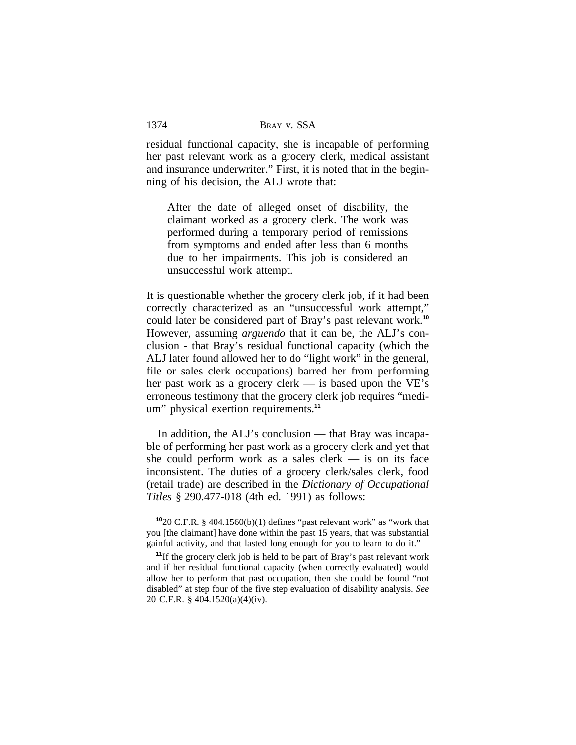residual functional capacity, she is incapable of performing her past relevant work as a grocery clerk, medical assistant and insurance underwriter." First, it is noted that in the beginning of his decision, the ALJ wrote that:

After the date of alleged onset of disability, the claimant worked as a grocery clerk. The work was performed during a temporary period of remissions from symptoms and ended after less than 6 months due to her impairments. This job is considered an unsuccessful work attempt.

It is questionable whether the grocery clerk job, if it had been correctly characterized as an "unsuccessful work attempt," could later be considered part of Bray's past relevant work.**<sup>10</sup>** However, assuming *arguendo* that it can be, the ALJ's conclusion - that Bray's residual functional capacity (which the ALJ later found allowed her to do "light work" in the general, file or sales clerk occupations) barred her from performing her past work as a grocery clerk — is based upon the VE's erroneous testimony that the grocery clerk job requires "medium" physical exertion requirements.**<sup>11</sup>**

In addition, the ALJ's conclusion — that Bray was incapable of performing her past work as a grocery clerk and yet that she could perform work as a sales clerk  $-$  is on its face inconsistent. The duties of a grocery clerk/sales clerk, food (retail trade) are described in the *Dictionary of Occupational Titles* § 290.477-018 (4th ed. 1991) as follows:

**<sup>10</sup>**20 C.F.R. § 404.1560(b)(1) defines "past relevant work" as "work that you [the claimant] have done within the past 15 years, that was substantial gainful activity, and that lasted long enough for you to learn to do it."

**<sup>11</sup>**If the grocery clerk job is held to be part of Bray's past relevant work and if her residual functional capacity (when correctly evaluated) would allow her to perform that past occupation, then she could be found "not disabled" at step four of the five step evaluation of disability analysis. *See* 20 C.F.R. § 404.1520(a)(4)(iv).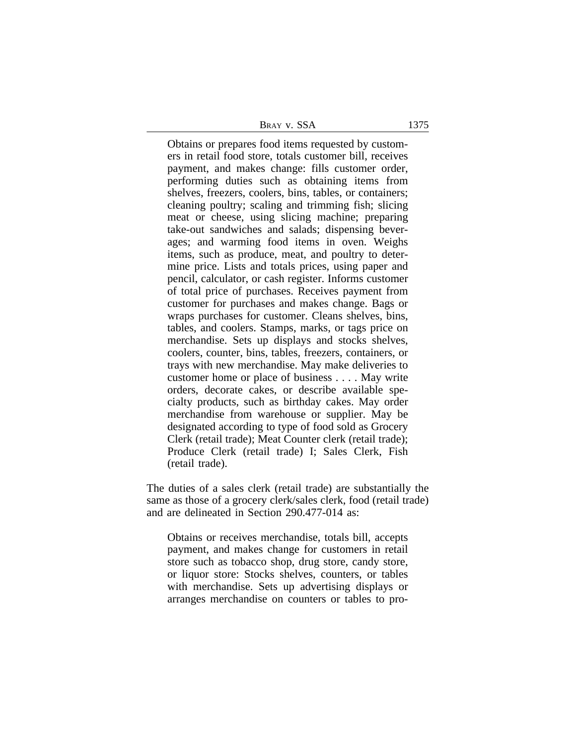**BRAY V. SSA** 1375

Obtains or prepares food items requested by customers in retail food store, totals customer bill, receives payment, and makes change: fills customer order, performing duties such as obtaining items from shelves, freezers, coolers, bins, tables, or containers; cleaning poultry; scaling and trimming fish; slicing meat or cheese, using slicing machine; preparing take-out sandwiches and salads; dispensing beverages; and warming food items in oven. Weighs items, such as produce, meat, and poultry to determine price. Lists and totals prices, using paper and pencil, calculator, or cash register. Informs customer of total price of purchases. Receives payment from customer for purchases and makes change. Bags or wraps purchases for customer. Cleans shelves, bins, tables, and coolers. Stamps, marks, or tags price on merchandise. Sets up displays and stocks shelves, coolers, counter, bins, tables, freezers, containers, or trays with new merchandise. May make deliveries to customer home or place of business . . . . May write orders, decorate cakes, or describe available specialty products, such as birthday cakes. May order merchandise from warehouse or supplier. May be designated according to type of food sold as Grocery Clerk (retail trade); Meat Counter clerk (retail trade); Produce Clerk (retail trade) I; Sales Clerk, Fish (retail trade).

The duties of a sales clerk (retail trade) are substantially the same as those of a grocery clerk/sales clerk, food (retail trade) and are delineated in Section 290.477-014 as:

Obtains or receives merchandise, totals bill, accepts payment, and makes change for customers in retail store such as tobacco shop, drug store, candy store, or liquor store: Stocks shelves, counters, or tables with merchandise. Sets up advertising displays or arranges merchandise on counters or tables to pro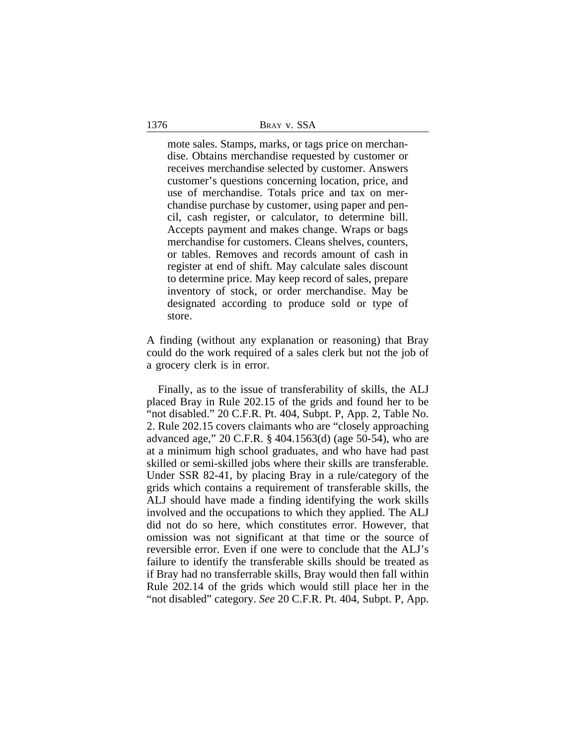mote sales. Stamps, marks, or tags price on merchandise. Obtains merchandise requested by customer or receives merchandise selected by customer. Answers customer's questions concerning location, price, and use of merchandise. Totals price and tax on merchandise purchase by customer, using paper and pencil, cash register, or calculator, to determine bill. Accepts payment and makes change. Wraps or bags merchandise for customers. Cleans shelves, counters, or tables. Removes and records amount of cash in register at end of shift. May calculate sales discount to determine price. May keep record of sales, prepare inventory of stock, or order merchandise. May be designated according to produce sold or type of store.

A finding (without any explanation or reasoning) that Bray could do the work required of a sales clerk but not the job of a grocery clerk is in error.

Finally, as to the issue of transferability of skills, the ALJ placed Bray in Rule 202.15 of the grids and found her to be "not disabled." 20 C.F.R. Pt. 404, Subpt. P, App. 2, Table No. 2. Rule 202.15 covers claimants who are "closely approaching advanced age," 20 C.F.R. § 404.1563(d) (age 50-54), who are at a minimum high school graduates, and who have had past skilled or semi-skilled jobs where their skills are transferable. Under SSR 82-41, by placing Bray in a rule/category of the grids which contains a requirement of transferable skills, the ALJ should have made a finding identifying the work skills involved and the occupations to which they applied. The ALJ did not do so here, which constitutes error. However, that omission was not significant at that time or the source of reversible error. Even if one were to conclude that the ALJ's failure to identify the transferable skills should be treated as if Bray had no transferrable skills, Bray would then fall within Rule 202.14 of the grids which would still place her in the "not disabled" category. *See* 20 C.F.R. Pt. 404, Subpt. P, App.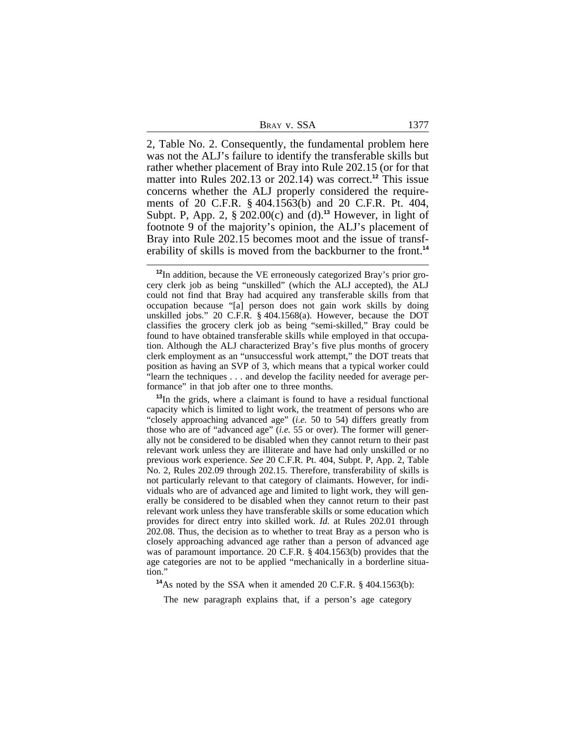2, Table No. 2. Consequently, the fundamental problem here was not the ALJ's failure to identify the transferable skills but rather whether placement of Bray into Rule 202.15 (or for that matter into Rules 202.13 or 202.14) was correct.**<sup>12</sup>** This issue concerns whether the ALJ properly considered the requirements of 20 C.F.R. § 404.1563(b) and 20 C.F.R. Pt. 404, Subpt. P, App. 2, § 202.00(c) and (d).**<sup>13</sup>** However, in light of footnote 9 of the majority's opinion, the ALJ's placement of Bray into Rule 202.15 becomes moot and the issue of transferability of skills is moved from the backburner to the front.**<sup>14</sup>**

**<sup>13</sup>**In the grids, where a claimant is found to have a residual functional capacity which is limited to light work, the treatment of persons who are "closely approaching advanced age" (*i.e.* 50 to 54) differs greatly from those who are of "advanced age" (*i.e.* 55 or over). The former will generally not be considered to be disabled when they cannot return to their past relevant work unless they are illiterate and have had only unskilled or no previous work experience. *See* 20 C.F.R. Pt. 404, Subpt. P, App. 2, Table No. 2, Rules 202.09 through 202.15. Therefore, transferability of skills is not particularly relevant to that category of claimants. However, for individuals who are of advanced age and limited to light work, they will generally be considered to be disabled when they cannot return to their past relevant work unless they have transferable skills or some education which provides for direct entry into skilled work. *Id.* at Rules 202.01 through 202.08. Thus, the decision as to whether to treat Bray as a person who is closely approaching advanced age rather than a person of advanced age was of paramount importance. 20 C.F.R. § 404.1563(b) provides that the age categories are not to be applied "mechanically in a borderline situation."

**<sup>14</sup>**As noted by the SSA when it amended 20 C.F.R. § 404.1563(b):

The new paragraph explains that, if a person's age category

**<sup>12</sup>**In addition, because the VE erroneously categorized Bray's prior grocery clerk job as being "unskilled" (which the ALJ accepted), the ALJ could not find that Bray had acquired any transferable skills from that occupation because "[a] person does not gain work skills by doing unskilled jobs." 20 C.F.R. § 404.1568(a). However, because the DOT classifies the grocery clerk job as being "semi-skilled," Bray could be found to have obtained transferable skills while employed in that occupation. Although the ALJ characterized Bray's five plus months of grocery clerk employment as an "unsuccessful work attempt," the DOT treats that position as having an SVP of 3, which means that a typical worker could "learn the techniques . . . and develop the facility needed for average performance" in that job after one to three months.